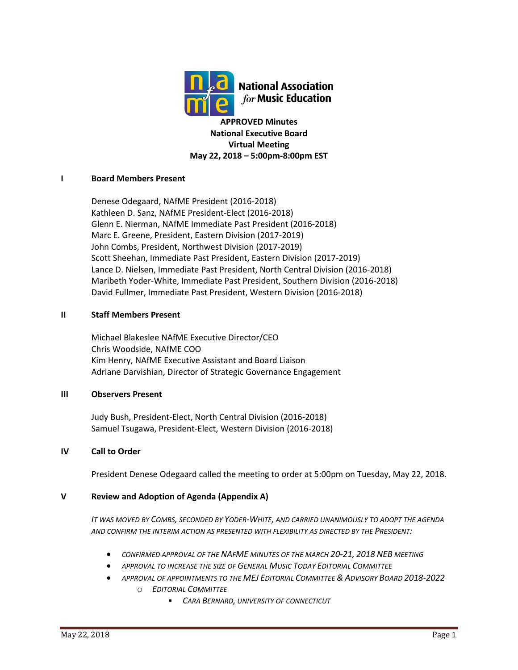

**APPROVED Minutes National Executive Board Virtual Meeting May 22, 2018 – 5:00pm-8:00pm EST**

## **I Board Members Present**

Denese Odegaard, NAfME President (2016-2018) Kathleen D. Sanz, NAfME President-Elect (2016-2018) Glenn E. Nierman, NAfME Immediate Past President (2016-2018) Marc E. Greene, President, Eastern Division (2017-2019) John Combs, President, Northwest Division (2017-2019) Scott Sheehan, Immediate Past President, Eastern Division (2017-2019) Lance D. Nielsen, Immediate Past President, North Central Division (2016-2018) Maribeth Yoder-White, Immediate Past President, Southern Division (2016-2018) David Fullmer, Immediate Past President, Western Division (2016-2018)

#### **II Staff Members Present**

Michael Blakeslee NAfME Executive Director/CEO Chris Woodside, NAfME COO Kim Henry, NAfME Executive Assistant and Board Liaison Adriane Darvishian, Director of Strategic Governance Engagement

#### **III Observers Present**

Judy Bush, President-Elect, North Central Division (2016-2018) Samuel Tsugawa, President-Elect, Western Division (2016-2018)

#### **IV Call to Order**

President Denese Odegaard called the meeting to order at 5:00pm on Tuesday, May 22, 2018.

## **V Review and Adoption of Agenda (Appendix A)**

IT WAS MOVED BY COMBS, SECONDED BY YODER-WHITE, AND CARRIED UNANIMOUSLY TO ADOPT THE AGENDA *AND CONFIRM THE INTERIM ACTION AS PRESENTED WITH FLEXIBILITY AS DIRECTED BY THE PRESIDENT:*

- *CONFIRMED APPROVAL OF THE NAFME MINUTES OF THE MARCH 20-21, 2018 NEB MEETING*
- *APPROVAL TO INCREASE THE SIZE OF GENERAL MUSIC TODAY EDITORIAL COMMITTEE*
- *APPROVAL OF APPOINTMENTS TO THE MEJ EDITORIAL COMMITTEE & ADVISORY BOARD 2018-2022*
	- o *EDITORIAL COMMITTEE*
		- *CARA BERNARD, UNIVERSITY OF CONNECTICUT*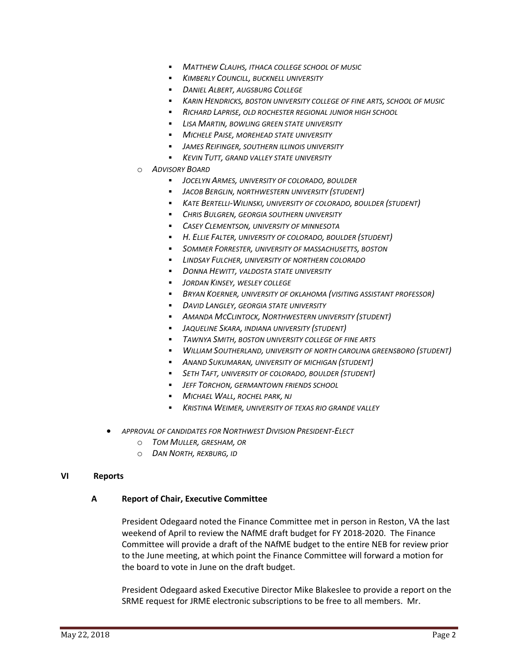- *MATTHEW CLAUHS, ITHACA COLLEGE SCHOOL OF MUSIC*
- *KIMBERLY COUNCILL, BUCKNELL UNIVERSITY*
- *DANIEL ALBERT, AUGSBURG COLLEGE*
- *KARIN HENDRICKS, BOSTON UNIVERSITY COLLEGE OF FINE ARTS, SCHOOL OF MUSIC*
- *RICHARD LAPRISE, OLD ROCHESTER REGIONAL JUNIOR HIGH SCHOOL*
- *LISA MARTIN, BOWLING GREEN STATE UNIVERSITY*
- *MICHELE PAISE, MOREHEAD STATE UNIVERSITY*
- *JAMES REIFINGER, SOUTHERN ILLINOIS UNIVERSITY*
- *KEVIN TUTT, GRAND VALLEY STATE UNIVERSITY*
- o *ADVISORY BOARD*
	- *JOCELYN ARMES, UNIVERSITY OF COLORADO, BOULDER*
	- *JACOB BERGLIN, NORTHWESTERN UNIVERSITY (STUDENT)*
	- *KATE BERTELLI-WILINSKI, UNIVERSITY OF COLORADO, BOULDER (STUDENT)*
	- *CHRIS BULGREN, GEORGIA SOUTHERN UNIVERSITY*
	- *CASEY CLEMENTSON, UNIVERSITY OF MINNESOTA*
	- *H. ELLIE FALTER, UNIVERSITY OF COLORADO, BOULDER (STUDENT)*
	- *SOMMER FORRESTER, UNIVERSITY OF MASSACHUSETTS, BOSTON*
	- *LINDSAY FULCHER, UNIVERSITY OF NORTHERN COLORADO*
	- *DONNA HEWITT, VALDOSTA STATE UNIVERSITY*
	- *JORDAN KINSEY, WESLEY COLLEGE*
	- *BRYAN KOERNER, UNIVERSITY OF OKLAHOMA (VISITING ASSISTANT PROFESSOR)*
	- *DAVID LANGLEY, GEORGIA STATE UNIVERSITY*
	- *AMANDA MCCLINTOCK, NORTHWESTERN UNIVERSITY (STUDENT)*
	- *JAQUELINE SKARA, INDIANA UNIVERSITY (STUDENT)*
	- *TAWNYA SMITH, BOSTON UNIVERSITY COLLEGE OF FINE ARTS*
	- *WILLIAM SOUTHERLAND, UNIVERSITY OF NORTH CAROLINA GREENSBORO (STUDENT)*
	- *ANAND SUKUMARAN, UNIVERSITY OF MICHIGAN (STUDENT)*
	- *SETH TAFT, UNIVERSITY OF COLORADO, BOULDER (STUDENT)*
	- *JEFF TORCHON, GERMANTOWN FRIENDS SCHOOL*
	- *MICHAEL WALL, ROCHEL PARK, NJ*
	- *KRISTINA WEIMER, UNIVERSITY OF TEXAS RIO GRANDE VALLEY*
- *APPROVAL OF CANDIDATES FOR NORTHWEST DIVISION PRESIDENT-ELECT*
	- o *TOM MULLER, GRESHAM, OR*
	- o *DAN NORTH, REXBURG, ID*

#### **VI Reports**

#### **A Report of Chair, Executive Committee**

President Odegaard noted the Finance Committee met in person in Reston, VA the last weekend of April to review the NAfME draft budget for FY 2018-2020. The Finance Committee will provide a draft of the NAfME budget to the entire NEB for review prior to the June meeting, at which point the Finance Committee will forward a motion for the board to vote in June on the draft budget.

President Odegaard asked Executive Director Mike Blakeslee to provide a report on the SRME request for JRME electronic subscriptions to be free to all members. Mr.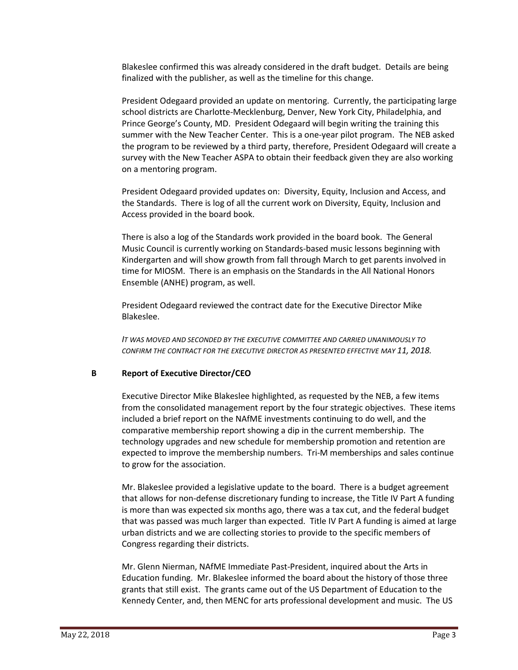Blakeslee confirmed this was already considered in the draft budget. Details are being finalized with the publisher, as well as the timeline for this change.

President Odegaard provided an update on mentoring. Currently, the participating large school districts are Charlotte-Mecklenburg, Denver, New York City, Philadelphia, and Prince George's County, MD. President Odegaard will begin writing the training this summer with the New Teacher Center. This is a one-year pilot program. The NEB asked the program to be reviewed by a third party, therefore, President Odegaard will create a survey with the New Teacher ASPA to obtain their feedback given they are also working on a mentoring program.

President Odegaard provided updates on: Diversity, Equity, Inclusion and Access, and the Standards. There is log of all the current work on Diversity, Equity, Inclusion and Access provided in the board book.

There is also a log of the Standards work provided in the board book. The General Music Council is currently working on Standards-based music lessons beginning with Kindergarten and will show growth from fall through March to get parents involved in time for MIOSM. There is an emphasis on the Standards in the All National Honors Ensemble (ANHE) program, as well.

President Odegaard reviewed the contract date for the Executive Director Mike Blakeslee.

*IT WAS MOVED AND SECONDED BY THE EXECUTIVE COMMITTEE AND CARRIED UNANIMOUSLY TO CONFIRM THE CONTRACT FOR THE EXECUTIVE DIRECTOR AS PRESENTED EFFECTIVE MAY 11, 2018.*

## **B Report of Executive Director/CEO**

Executive Director Mike Blakeslee highlighted, as requested by the NEB, a few items from the consolidated management report by the four strategic objectives. These items included a brief report on the NAfME investments continuing to do well, and the comparative membership report showing a dip in the current membership. The technology upgrades and new schedule for membership promotion and retention are expected to improve the membership numbers. Tri-M memberships and sales continue to grow for the association.

Mr. Blakeslee provided a legislative update to the board. There is a budget agreement that allows for non-defense discretionary funding to increase, the Title IV Part A funding is more than was expected six months ago, there was a tax cut, and the federal budget that was passed was much larger than expected. Title IV Part A funding is aimed at large urban districts and we are collecting stories to provide to the specific members of Congress regarding their districts.

Mr. Glenn Nierman, NAfME Immediate Past-President, inquired about the Arts in Education funding. Mr. Blakeslee informed the board about the history of those three grants that still exist. The grants came out of the US Department of Education to the Kennedy Center, and, then MENC for arts professional development and music. The US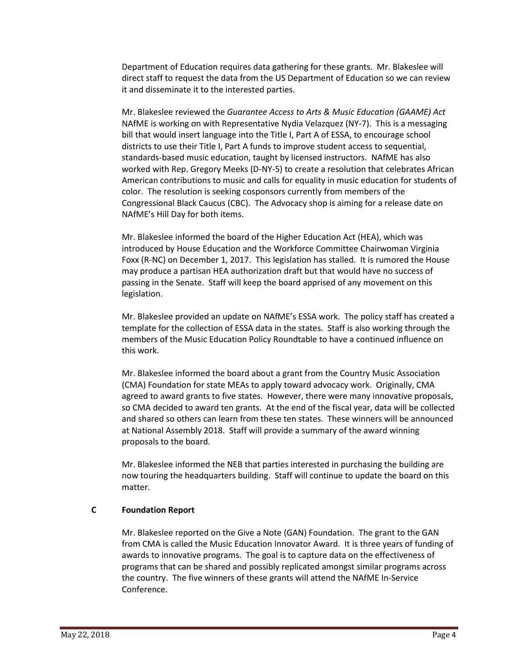Department of Education requires data gathering for these grants. Mr. Blakeslee will direct staff to request the data from the US Department of Education so we can review it and disseminate it to the interested parties.

Mr. Blakeslee reviewed the *Guarantee Access to Arts & Music Education (GAAME) Act* NAfME is working on with Representative Nydia Velazquez (NY-7). This is a messaging bill that would insert language into the Title I, Part A of ESSA, to encourage school districts to use their Title I, Part A funds to improve student access to sequential, standards-based music education, taught by licensed instructors. NAfME has also worked with Rep. Gregory Meeks (D-NY-5) to create a resolution that celebrates African American contributions to music and calls for equality in music education for students of color. The resolution is seeking cosponsors currently from members of the Congressional Black Caucus (CBC). The Advocacy shop is aiming for a release date on NAfME's Hill Day for both items.

Mr. Blakeslee informed the board of the Higher Education Act (HEA), which was introduced by House Education and the Workforce Committee Chairwoman Virginia Foxx (R-NC) on December 1, 2017. This legislation has stalled. It is rumored the House may produce a partisan HEA authorization draft but that would have no success of passing in the Senate. Staff will keep the board apprised of any movement on this legislation.

Mr. Blakeslee provided an update on NAfME's ESSA work. The policy staff has created a template for the collection of ESSA data in the states. Staff is also working through the members of the Music Education Policy Roundtable to have a continued influence on this work.

Mr. Blakeslee informed the board about a grant from the Country Music Association (CMA) Foundation for state MEAs to apply toward advocacy work. Originally, CMA agreed to award grants to five states. However, there were many innovative proposals, so CMA decided to award ten grants. At the end of the fiscal year, data will be collected and shared so others can learn from these ten states. These winners will be announced at National Assembly 2018. Staff will provide a summary of the award winning proposals to the board.

Mr. Blakeslee informed the NEB that parties interested in purchasing the building are now touring the headquarters building. Staff will continue to update the board on this matter.

## **C Foundation Report**

Mr. Blakeslee reported on the Give a Note (GAN) Foundation. The grant to the GAN from CMA is called the Music Education Innovator Award. It is three years of funding of awards to innovative programs. The goal is to capture data on the effectiveness of programs that can be shared and possibly replicated amongst similar programs across the country. The five winners of these grants will attend the NAfME In-Service Conference.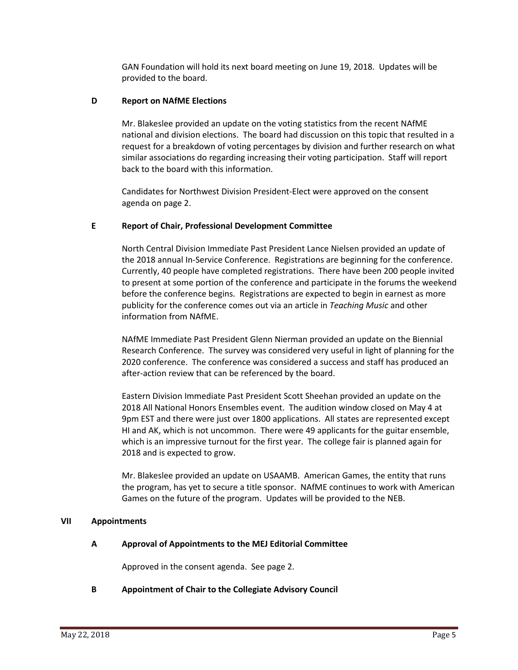GAN Foundation will hold its next board meeting on June 19, 2018. Updates will be provided to the board.

## **D Report on NAfME Elections**

Mr. Blakeslee provided an update on the voting statistics from the recent NAfME national and division elections. The board had discussion on this topic that resulted in a request for a breakdown of voting percentages by division and further research on what similar associations do regarding increasing their voting participation. Staff will report back to the board with this information.

Candidates for Northwest Division President-Elect were approved on the consent agenda on page 2.

# **E Report of Chair, Professional Development Committee**

North Central Division Immediate Past President Lance Nielsen provided an update of the 2018 annual In-Service Conference. Registrations are beginning for the conference. Currently, 40 people have completed registrations. There have been 200 people invited to present at some portion of the conference and participate in the forums the weekend before the conference begins. Registrations are expected to begin in earnest as more publicity for the conference comes out via an article in *Teaching Music* and other information from NAfME.

NAfME Immediate Past President Glenn Nierman provided an update on the Biennial Research Conference. The survey was considered very useful in light of planning for the 2020 conference. The conference was considered a success and staff has produced an after-action review that can be referenced by the board.

Eastern Division Immediate Past President Scott Sheehan provided an update on the 2018 All National Honors Ensembles event. The audition window closed on May 4 at 9pm EST and there were just over 1800 applications. All states are represented except HI and AK, which is not uncommon. There were 49 applicants for the guitar ensemble, which is an impressive turnout for the first year. The college fair is planned again for 2018 and is expected to grow.

Mr. Blakeslee provided an update on USAAMB. American Games, the entity that runs the program, has yet to secure a title sponsor. NAfME continues to work with American Games on the future of the program. Updates will be provided to the NEB.

## **VII Appointments**

# **A Approval of Appointments to the MEJ Editorial Committee**

Approved in the consent agenda. See page 2.

**B Appointment of Chair to the Collegiate Advisory Council**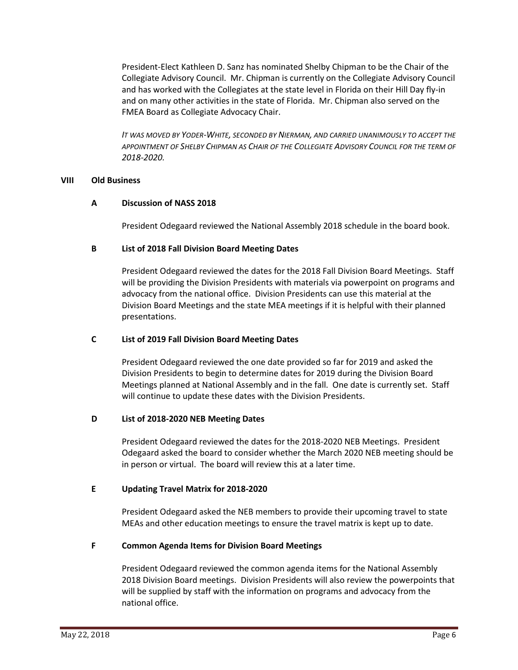President-Elect Kathleen D. Sanz has nominated Shelby Chipman to be the Chair of the Collegiate Advisory Council. Mr. Chipman is currently on the Collegiate Advisory Council and has worked with the Collegiates at the state level in Florida on their Hill Day fly-in and on many other activities in the state of Florida. Mr. Chipman also served on the FMEA Board as Collegiate Advocacy Chair.

IT WAS MOVED BY YODER-WHITE, SECONDED BY NIERMAN, AND CARRIED UNANIMOUSLY TO ACCEPT THE APPOINTMENT OF SHELBY CHIPMAN AS CHAIR OF THE COLLEGIATE ADVISORY COUNCIL FOR THE TERM OF *2018-2020.*

## **VIII Old Business**

## **A Discussion of NASS 2018**

President Odegaard reviewed the National Assembly 2018 schedule in the board book.

# **B List of 2018 Fall Division Board Meeting Dates**

President Odegaard reviewed the dates for the 2018 Fall Division Board Meetings. Staff will be providing the Division Presidents with materials via powerpoint on programs and advocacy from the national office. Division Presidents can use this material at the Division Board Meetings and the state MEA meetings if it is helpful with their planned presentations.

## **C List of 2019 Fall Division Board Meeting Dates**

President Odegaard reviewed the one date provided so far for 2019 and asked the Division Presidents to begin to determine dates for 2019 during the Division Board Meetings planned at National Assembly and in the fall. One date is currently set. Staff will continue to update these dates with the Division Presidents.

## **D List of 2018-2020 NEB Meeting Dates**

President Odegaard reviewed the dates for the 2018-2020 NEB Meetings. President Odegaard asked the board to consider whether the March 2020 NEB meeting should be in person or virtual. The board will review this at a later time.

## **E Updating Travel Matrix for 2018-2020**

President Odegaard asked the NEB members to provide their upcoming travel to state MEAs and other education meetings to ensure the travel matrix is kept up to date.

## **F Common Agenda Items for Division Board Meetings**

President Odegaard reviewed the common agenda items for the National Assembly 2018 Division Board meetings. Division Presidents will also review the powerpoints that will be supplied by staff with the information on programs and advocacy from the national office.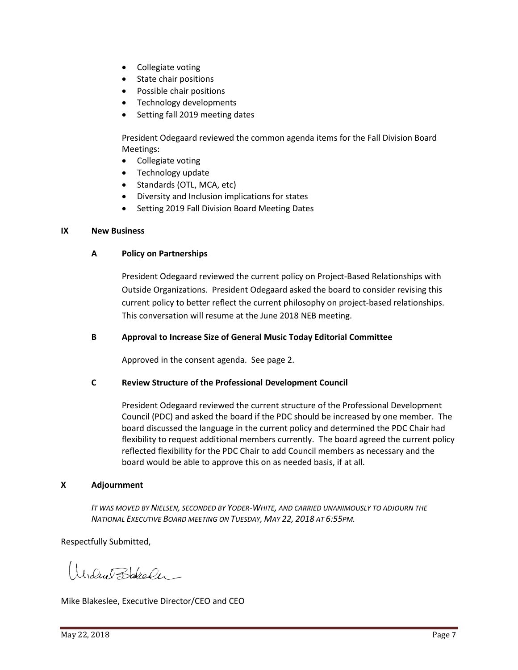- Collegiate voting
- State chair positions
- Possible chair positions
- Technology developments
- Setting fall 2019 meeting dates

President Odegaard reviewed the common agenda items for the Fall Division Board Meetings:

- Collegiate voting
- Technology update
- Standards (OTL, MCA, etc)
- Diversity and Inclusion implications for states
- Setting 2019 Fall Division Board Meeting Dates

## **IX New Business**

## **A Policy on Partnerships**

President Odegaard reviewed the current policy on Project-Based Relationships with Outside Organizations. President Odegaard asked the board to consider revising this current policy to better reflect the current philosophy on project-based relationships. This conversation will resume at the June 2018 NEB meeting.

## **B Approval to Increase Size of General Music Today Editorial Committee**

Approved in the consent agenda. See page 2.

## **C Review Structure of the Professional Development Council**

President Odegaard reviewed the current structure of the Professional Development Council (PDC) and asked the board if the PDC should be increased by one member. The board discussed the language in the current policy and determined the PDC Chair had flexibility to request additional members currently. The board agreed the current policy reflected flexibility for the PDC Chair to add Council members as necessary and the board would be able to approve this on as needed basis, if at all.

## **X Adjournment**

IT WAS MOVED BY NIELSEN, SECONDED BY YODER-WHITE, AND CARRIED UNANIMOUSLY TO ADJOURN THE *NATIONAL EXECUTIVE BOARD MEETING ON TUESDAY, MAY 22, 2018 AT 6:55PM.*

Respectfully Submitted,

Window Blakeler

Mike Blakeslee, Executive Director/CEO and CEO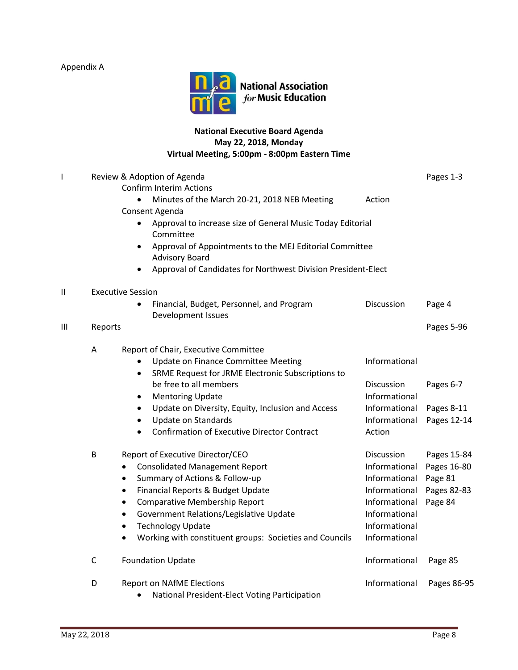Appendix A



# **National Executive Board Agenda May 22, 2018, Monday Virtual Meeting, 5:00pm - 8:00pm Eastern Time**

| I | Review & Adoption of Agenda                             |                                                                         |               |             |  |  |  |  |
|---|---------------------------------------------------------|-------------------------------------------------------------------------|---------------|-------------|--|--|--|--|
|   |                                                         | <b>Confirm Interim Actions</b>                                          |               |             |  |  |  |  |
|   |                                                         | Minutes of the March 20-21, 2018 NEB Meeting                            | Action        |             |  |  |  |  |
|   |                                                         | Consent Agenda                                                          |               |             |  |  |  |  |
|   |                                                         | Approval to increase size of General Music Today Editorial<br>Committee |               |             |  |  |  |  |
|   | Approval of Appointments to the MEJ Editorial Committee |                                                                         |               |             |  |  |  |  |
|   | <b>Advisory Board</b>                                   |                                                                         |               |             |  |  |  |  |
|   |                                                         | Approval of Candidates for Northwest Division President-Elect           |               |             |  |  |  |  |
| Ш | <b>Executive Session</b>                                |                                                                         |               |             |  |  |  |  |
|   |                                                         | Financial, Budget, Personnel, and Program                               | Discussion    | Page 4      |  |  |  |  |
|   |                                                         | Development Issues                                                      |               |             |  |  |  |  |
| Ш | Reports                                                 |                                                                         |               | Pages 5-96  |  |  |  |  |
|   | A                                                       | Report of Chair, Executive Committee                                    |               |             |  |  |  |  |
|   |                                                         | Update on Finance Committee Meeting                                     | Informational |             |  |  |  |  |
|   |                                                         | SRME Request for JRME Electronic Subscriptions to<br>$\bullet$          |               |             |  |  |  |  |
|   |                                                         | be free to all members                                                  | Discussion    | Pages 6-7   |  |  |  |  |
|   |                                                         | <b>Mentoring Update</b><br>$\bullet$                                    | Informational |             |  |  |  |  |
|   |                                                         | Update on Diversity, Equity, Inclusion and Access<br>$\bullet$          | Informational | Pages 8-11  |  |  |  |  |
|   |                                                         | <b>Update on Standards</b><br>$\bullet$                                 | Informational | Pages 12-14 |  |  |  |  |
|   |                                                         | <b>Confirmation of Executive Director Contract</b><br>$\bullet$         | Action        |             |  |  |  |  |
|   | B                                                       | Report of Executive Director/CEO                                        | Discussion    | Pages 15-84 |  |  |  |  |
|   |                                                         | <b>Consolidated Management Report</b><br>$\bullet$                      | Informational | Pages 16-80 |  |  |  |  |
|   |                                                         | Summary of Actions & Follow-up<br>$\bullet$                             | Informational | Page 81     |  |  |  |  |
|   |                                                         | Financial Reports & Budget Update<br>$\bullet$                          | Informational | Pages 82-83 |  |  |  |  |
|   |                                                         | <b>Comparative Membership Report</b><br>$\bullet$                       | Informational | Page 84     |  |  |  |  |
|   |                                                         | Government Relations/Legislative Update<br>$\bullet$                    | Informational |             |  |  |  |  |
|   |                                                         | <b>Technology Update</b><br>$\bullet$                                   | Informational |             |  |  |  |  |
|   |                                                         | Working with constituent groups: Societies and Councils<br>$\bullet$    | Informational |             |  |  |  |  |
|   | $\mathsf C$                                             | <b>Foundation Update</b>                                                | Informational | Page 85     |  |  |  |  |
|   | D                                                       | Report on NAfME Elections                                               | Informational | Pages 86-95 |  |  |  |  |
|   |                                                         | National President-Elect Voting Participation<br>$\bullet$              |               |             |  |  |  |  |